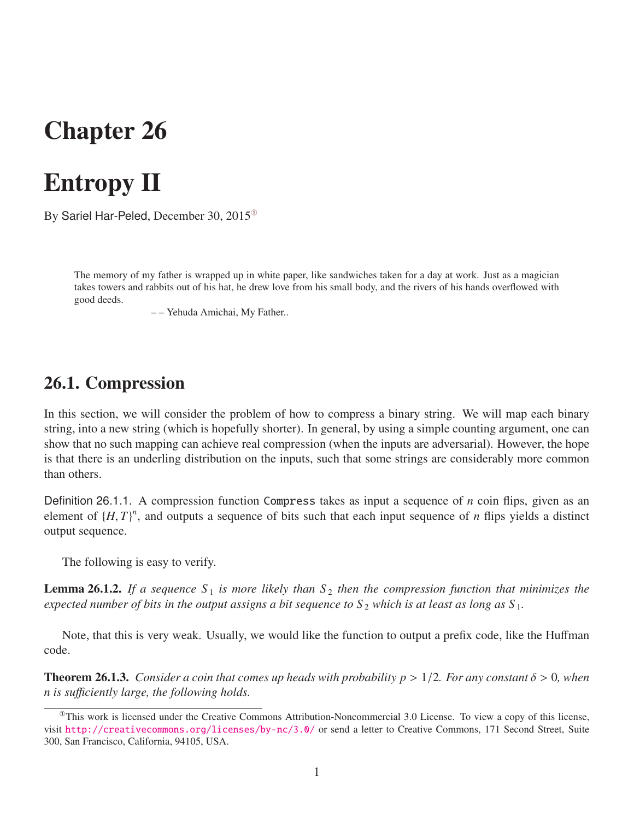## Chapter 26

# Entropy II

By Sariel Har-Peled, December 30, 2015[①](#page-0-0)

The memory of my father is wrapped up in white paper, like sandwiches taken for a day at work. Just as a magician takes towers and rabbits out of his hat, he drew love from his small body, and the rivers of his hands overflowed with good deeds.

– – Yehuda Amichai, My Father..

### 26.1. Compression

In this section, we will consider the problem of how to compress a binary string. We will map each binary string, into a new string (which is hopefully shorter). In general, by using a simple counting argument, one can show that no such mapping can achieve real compression (when the inputs are adversarial). However, the hope is that there is an underling distribution on the inputs, such that some strings are considerably more common than others.

Definition 26.1.1. A compression function Compress takes as input a sequence of *n* coin flips, given as an element of  $\{H, T\}$ <sup>*n*</sup>, and outputs a sequence of bits such that each input sequence of *n* flips yields a distinct output sequence.

<span id="page-0-1"></span>The following is easy to verify.

**Lemma 26.1.2.** If a sequence  $S_1$  is more likely than  $S_2$  then the compression function that minimizes the *expected number of bits in the output assigns a bit sequence to*  $S_2$  *which is at least as long as*  $S_1$ *.* 

Note, that this is very weak. Usually, we would like the function to output a prefix code, like the Huffman code.

**Theorem 26.1.3.** *Consider a coin that comes up heads with probability*  $p > 1/2$ *. For any constant*  $\delta > 0$ *, when n is su*ffi*ciently large, the following holds.*

<span id="page-0-0"></span> $^{\circ}$ This work is licensed under the Creative Commons Attribution-Noncommercial 3.0 License. To view a copy of this license, visit <http://creativecommons.org/licenses/by-nc/3.0/> or send a letter to Creative Commons, 171 Second Street, Suite 300, San Francisco, California, 94105, USA.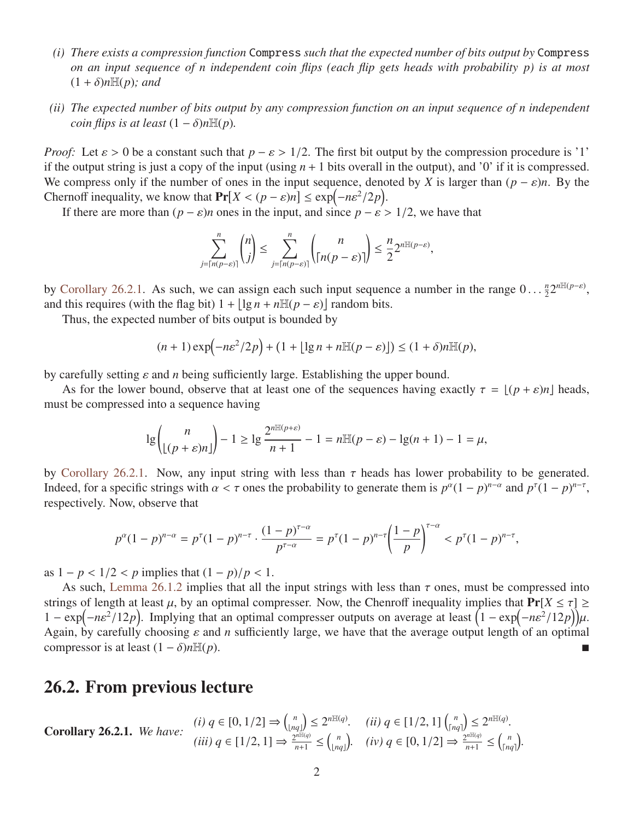- *(i) There exists a compression function* Compress *such that the expected number of bits output by* Compress *on an input sequence of n independent coin flips (each flip gets heads with probability p) is at most*  $(1 + \delta)n\mathbb{H}(p)$ *; and*
- *(ii) The expected number of bits output by any compression function on an input sequence of n independent coin flips is at least*  $(1 - \delta)n\mathbb{H}(p)$ *.*

*Proof:* Let  $\varepsilon > 0$  be a constant such that  $p - \varepsilon > 1/2$ . The first bit output by the compression procedure is '1' if the output string is just a copy of the input (using  $n + 1$  bits overall in the output), and '0' if it is compressed. We compress only if the number of ones in the input sequence, denoted by *X* is larger than  $(p - \varepsilon)n$ . By the Chernoff inequality, we know that  $Pr[X < (p - \varepsilon)n] \leq exp(-n\varepsilon^2/2p)$ .<br>If there are more than  $(p - \varepsilon)n$  ones in the input and since  $n - \varepsilon$ .

If there are more than  $(p - \varepsilon)n$  ones in the input, and since  $p - \varepsilon > 1/2$ , we have that

$$
\sum_{j=\lceil n(p-\varepsilon)\rceil}^{n} {n \choose j} \le \sum_{j=\lceil n(p-\varepsilon)\rceil}^{n} {n \choose \lceil n(p-\varepsilon)\rceil} \le \frac{n}{2} 2^{n \mathbb{H}(p-\varepsilon)},
$$

by [Corollary 26.2.1.](#page-1-0) As such, we can assign each such input sequence a number in the range  $0 \dots \frac{n}{2}$ <br>and this requires (with the flag bit)  $1 + |\log n + n\mathbb{H}(n - s)|$  random bits  $\frac{n}{2}2^{n\mathbb{H}(p-\varepsilon)},$ and this requires (with the flag bit)  $1 + \lfloor \lg n + n \mathbb{H}(p - \varepsilon) \rfloor$  random bits.<br>Thus the expected number of bits output is bounded by

Thus, the expected number of bits output is bounded by

$$
(n+1)\exp\left(-n\varepsilon^2/2p\right) + \left(1 + \lfloor \lg n + n \mathbb{H}(p-\varepsilon)\rfloor\right) \le (1+\delta)n\mathbb{H}(p),
$$

by carefully setting ε and *<sup>n</sup>* being sufficiently large. Establishing the upper bound.

As for the lower bound, observe that at least one of the sequences having exactly  $\tau = \left\lfloor (p + \varepsilon)n \right\rfloor$  heads, must be compressed into a sequence having

$$
\lg \binom{n}{\lfloor (p+\varepsilon)n \rfloor} - 1 \ge \lg \frac{2^{n \mathbb{H}(p+\varepsilon)}}{n+1} - 1 = n \mathbb{H}(p-\varepsilon) - \lg(n+1) - 1 = \mu,
$$

by [Corollary 26.2.1.](#page-1-0) Now, any input string with less than  $\tau$  heads has lower probability to be generated. Indeed, for a specific strings with  $\alpha < \tau$  ones the probability to generate them is  $p^{\alpha}(1 - p)^{n-\alpha}$  and  $p^{\tau}(1 - p)^{n-\tau}$ , respectively. Now observe that respectively. Now, observe that

$$
p^{\alpha}(1-p)^{n-\alpha} = p^{\tau}(1-p)^{n-\tau} \cdot \frac{(1-p)^{\tau-\alpha}}{p^{\tau-\alpha}} = p^{\tau}(1-p)^{n-\tau} \left(\frac{1-p}{p}\right)^{\tau-\alpha} < p^{\tau}(1-p)^{n-\tau},
$$

as  $1 - p < 1/2 < p$  implies that  $(1 - p)/p < 1$ .

As such, [Lemma 26.1.2](#page-0-1) implies that all the input strings with less than  $\tau$  ones, must be compressed into strings of length at least  $\mu$ , by an optimal compresser. Now, the Chenroff inequality implies that  $Pr[X \leq \tau] \geq$  $1 - \exp(-n\varepsilon^2/12p)$ . Implying that an optimal compresser outputs on average at least  $\left(1 - \exp(-n\varepsilon^2/12p)\right)\mu$ .<br>Again by carefully choosing s and *n* sufficiently large, we have that the average output length of an optimal Again, by carefully choosing  $\varepsilon$  and *n* sufficiently large, we have that the average output length of an optimal compressor is at least  $(1 - \delta)n\mathbb{H}(p)$ .

#### 26.2. From previous lecture

<span id="page-1-0"></span>**Corollary 26.2.1.** *We have:*  $(i) q \in [0, 1/2] \Rightarrow {n \choose \lfloor n \rfloor}$  $\begin{array}{cc} n \lfloor nq \rfloor \leq 2^{n \mathbb{H}(q)}. & (ii) \ q \in [1/2, 1] \binom{n}{\lceil nq \rceil}. \end{array}$  $\binom{n}{\lfloor nq \rfloor} \leq 2^{n\mathbb{H}(q)}$ .  $(iii)$   $q \in [1/2, 1] \Rightarrow \frac{2^{nE(q)}}{n+1}$  $\frac{n^{\min(q)}}{n+1} \leq {n \choose \lfloor nq \rfloor}$  $\binom{n}{\lfloor nq \rfloor}$ , (iv)  $q \in [0, 1/2] \Rightarrow \frac{2^{n\mathbb{H}(q)}}{n+1}$  $\frac{n^{\min(q)}}{n+1} \leq \binom{n}{\lceil nq \rceil}$  $\binom{n}{nq}$ .